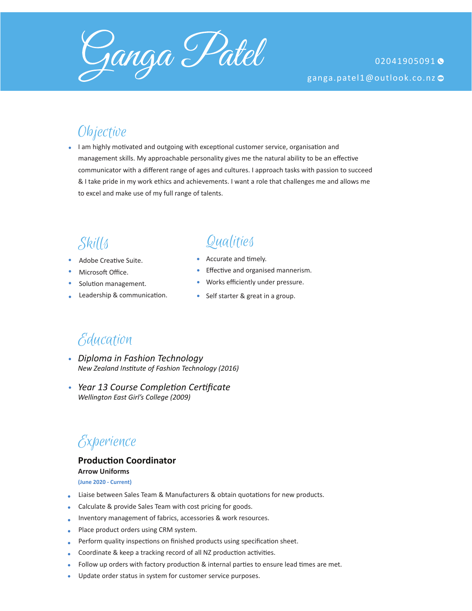

### **Objective**

I am highly motivated and outgoing with exceptional customer service, organisation and management skills. My approachable personality gives me the natural ability to be an effective communicator with a different range of ages and cultures. I approach tasks with passion to succeed & I take pride in my work ethics and achievements. I want a role that challenges me and allows me to excel and make use of my full range of talents.

- Adobe Creative Suite.
- Microsoft Office.
- Solution management.
- Leadership & communication.

# Skills Qualities

- Accurate and timely.
- **Effective and organised mannerism.**
- Works efficiently under pressure.  $\bullet$
- Self starter & great in a group.

### Education

- *Diploma in Fashion Technology New Zealand Institute of Fashion Technology (2016)*
- *Year 13 Course Completion Certificate Wellington East Girl's College (2009)*

### Experience

#### **Production Coordinator**

**Arrow Uniforms (June 2020 - Current)**

- Liaise between Sales Team & Manufacturers & obtain quotations for new products.
- Calculate & provide Sales Team with cost pricing for goods.
- Inventory management of fabrics, accessories & work resources.
- Place product orders using CRM system.
- Perform quality inspections on finished products using specification sheet.
- Coordinate & keep a tracking record of all NZ production activities.
- Follow up orders with factory production & internal parties to ensure lead times are met.
- Update order status in system for customer service purposes.